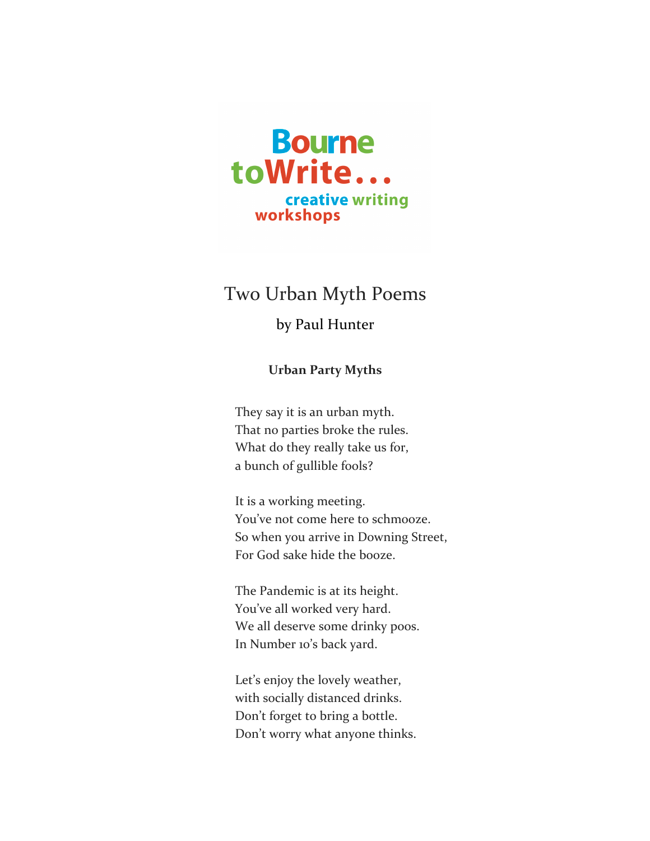

## Two Urban Myth Poems

## by Paul Hunter

**Urban Party Myths**

They say it is an urban myth. That no parties broke the rules. What do they really take us for, a bunch of gullible fools?

It is a working meeting. You've not come here to schmooze. So when you arrive in Downing Street, For God sake hide the booze.

The Pandemic is at its height. You've all worked very hard. We all deserve some drinky poos. In Number 10's back yard.

Let's enjoy the lovely weather, with socially distanced drinks. Don't forget to bring a bottle. Don't worry what anyone thinks.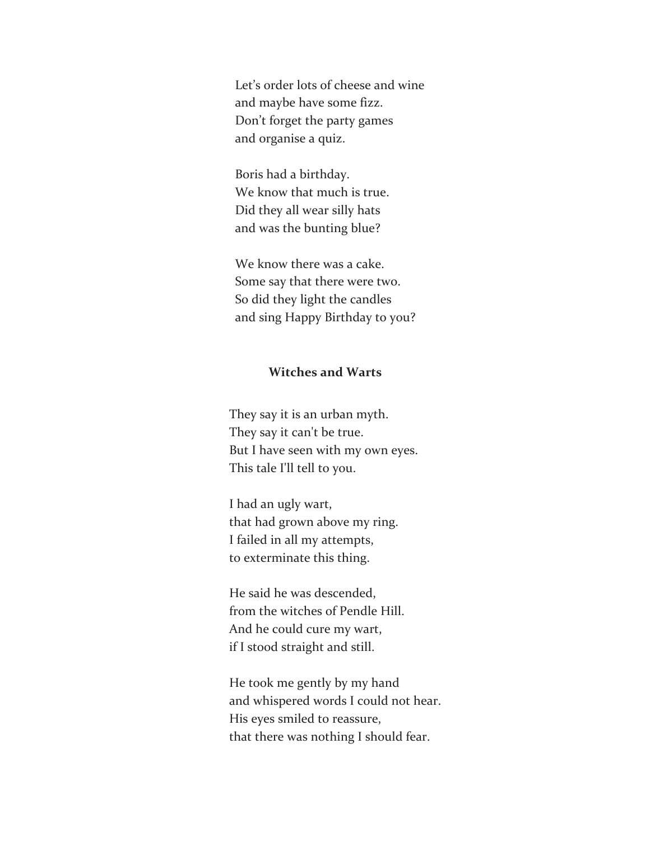Let's order lots of cheese and wine and maybe have some fizz. Don't forget the party games and organise a quiz.

Boris had a birthday. We know that much is true. Did they all wear silly hats and was the bunting blue?

We know there was a cake. Some say that there were two. So did they light the candles and sing Happy Birthday to you?

## **Witches and Warts**

They say it is an urban myth. They say it can't be true. But I have seen with my own eyes. This tale I'll tell to you.

I had an ugly wart, that had grown above my ring. I failed in all my attempts, to exterminate this thing.

He said he was descended, from the witches of Pendle Hill. And he could cure my wart, if I stood straight and still.

He took me gently by my hand and whispered words I could not hear. His eyes smiled to reassure, that there was nothing I should fear.